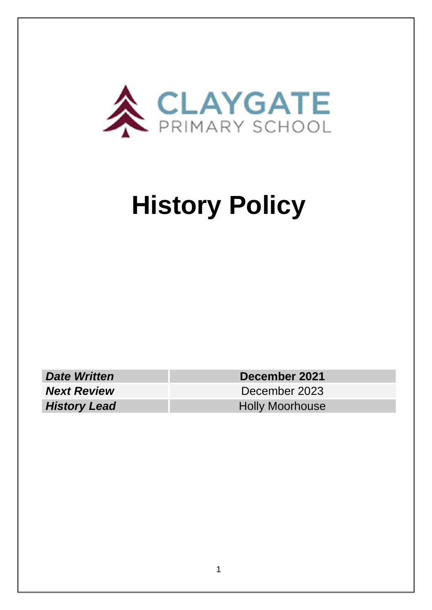

# **History Policy**

*Date Written* **December 2021** *Next Review* December 2023 **History Lead Holly Moorhouse**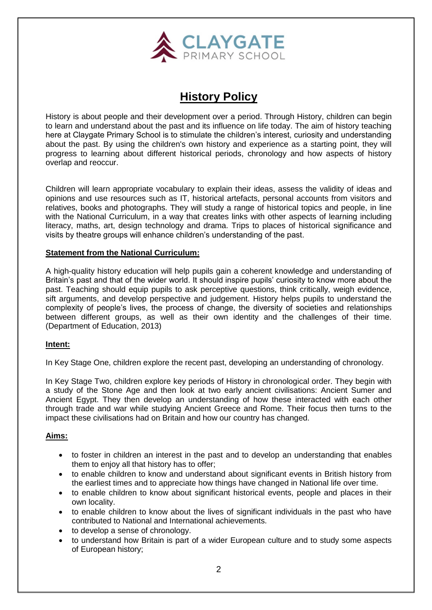

# **History Policy**

History is about people and their development over a period. Through History, children can begin to learn and understand about the past and its influence on life today. The aim of history teaching here at Claygate Primary School is to stimulate the children's interest, curiosity and understanding about the past. By using the children's own history and experience as a starting point, they will progress to learning about different historical periods, chronology and how aspects of history overlap and reoccur.

Children will learn appropriate vocabulary to explain their ideas, assess the validity of ideas and opinions and use resources such as IT, historical artefacts, personal accounts from visitors and relatives, books and photographs. They will study a range of historical topics and people, in line with the National Curriculum, in a way that creates links with other aspects of learning including literacy, maths, art, design technology and drama. Trips to places of historical significance and visits by theatre groups will enhance children's understanding of the past.

#### **Statement from the National Curriculum:**

A high-quality history education will help pupils gain a coherent knowledge and understanding of Britain's past and that of the wider world. It should inspire pupils' curiosity to know more about the past. Teaching should equip pupils to ask perceptive questions, think critically, weigh evidence, sift arguments, and develop perspective and judgement. History helps pupils to understand the complexity of people's lives, the process of change, the diversity of societies and relationships between different groups, as well as their own identity and the challenges of their time. (Department of Education, 2013)

#### **Intent:**

In Key Stage One, children explore the recent past, developing an understanding of chronology.

In Key Stage Two, children explore key periods of History in chronological order. They begin with a study of the Stone Age and then look at two early ancient civilisations: Ancient Sumer and Ancient Egypt. They then develop an understanding of how these interacted with each other through trade and war while studying Ancient Greece and Rome. Their focus then turns to the impact these civilisations had on Britain and how our country has changed.

#### **Aims:**

- to foster in children an interest in the past and to develop an understanding that enables them to enjoy all that history has to offer;
- to enable children to know and understand about significant events in British history from the earliest times and to appreciate how things have changed in National life over time.
- to enable children to know about significant historical events, people and places in their own locality.
- to enable children to know about the lives of significant individuals in the past who have contributed to National and International achievements.
- to develop a sense of chronology.
- to understand how Britain is part of a wider European culture and to study some aspects of European history;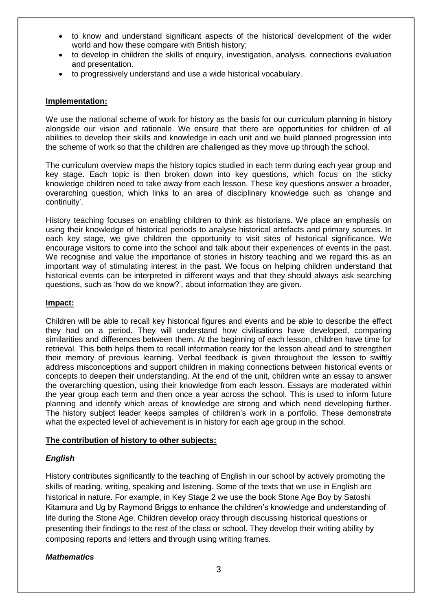- to know and understand significant aspects of the historical development of the wider world and how these compare with British history;
- to develop in children the skills of enquiry, investigation, analysis, connections evaluation and presentation.
- to progressively understand and use a wide historical vocabulary.

#### **Implementation:**

We use the national scheme of work for history as the basis for our curriculum planning in history alongside our vision and rationale. We ensure that there are opportunities for children of all abilities to develop their skills and knowledge in each unit and we build planned progression into the scheme of work so that the children are challenged as they move up through the school.

The curriculum overview maps the history topics studied in each term during each year group and key stage. Each topic is then broken down into key questions, which focus on the sticky knowledge children need to take away from each lesson. These key questions answer a broader, overarching question, which links to an area of disciplinary knowledge such as 'change and continuity'.

History teaching focuses on enabling children to think as historians. We place an emphasis on using their knowledge of historical periods to analyse historical artefacts and primary sources. In each key stage, we give children the opportunity to visit sites of historical significance. We encourage visitors to come into the school and talk about their experiences of events in the past. We recognise and value the importance of stories in history teaching and we regard this as an important way of stimulating interest in the past. We focus on helping children understand that historical events can be interpreted in different ways and that they should always ask searching questions, such as 'how do we know?', about information they are given.

#### **Impact:**

Children will be able to recall key historical figures and events and be able to describe the effect they had on a period. They will understand how civilisations have developed, comparing similarities and differences between them. At the beginning of each lesson, children have time for retrieval. This both helps them to recall information ready for the lesson ahead and to strengthen their memory of previous learning. Verbal feedback is given throughout the lesson to swiftly address misconceptions and support children in making connections between historical events or concepts to deepen their understanding. At the end of the unit, children write an essay to answer the overarching question, using their knowledge from each lesson. Essays are moderated within the year group each term and then once a year across the school. This is used to inform future planning and identify which areas of knowledge are strong and which need developing further. The history subject leader keeps samples of children's work in a portfolio. These demonstrate what the expected level of achievement is in history for each age group in the school.

#### **The contribution of history to other subjects:**

#### *English*

History contributes significantly to the teaching of English in our school by actively promoting the skills of reading, writing, speaking and listening. Some of the texts that we use in English are historical in nature. For example, in Key Stage 2 we use the book Stone Age Boy by Satoshi Kitamura and Ug by Raymond Briggs to enhance the children's knowledge and understanding of life during the Stone Age. Children develop oracy through discussing historical questions or presenting their findings to the rest of the class or school. They develop their writing ability by composing reports and letters and through using writing frames.

#### *Mathematics*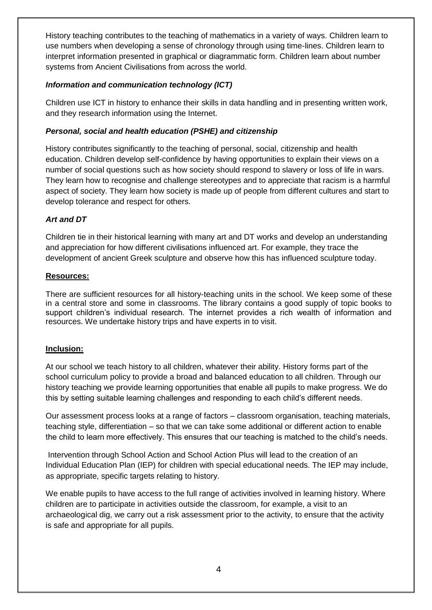History teaching contributes to the teaching of mathematics in a variety of ways. Children learn to use numbers when developing a sense of chronology through using time-lines. Children learn to interpret information presented in graphical or diagrammatic form. Children learn about number systems from Ancient Civilisations from across the world.

## *Information and communication technology (ICT)*

Children use ICT in history to enhance their skills in data handling and in presenting written work, and they research information using the Internet.

## *Personal, social and health education (PSHE) and citizenship*

History contributes significantly to the teaching of personal, social, citizenship and health education. Children develop self-confidence by having opportunities to explain their views on a number of social questions such as how society should respond to slavery or loss of life in wars. They learn how to recognise and challenge stereotypes and to appreciate that racism is a harmful aspect of society. They learn how society is made up of people from different cultures and start to develop tolerance and respect for others.

# *Art and DT*

Children tie in their historical learning with many art and DT works and develop an understanding and appreciation for how different civilisations influenced art. For example, they trace the development of ancient Greek sculpture and observe how this has influenced sculpture today.

# **Resources:**

There are sufficient resources for all history-teaching units in the school. We keep some of these in a central store and some in classrooms. The library contains a good supply of topic books to support children's individual research. The internet provides a rich wealth of information and resources. We undertake history trips and have experts in to visit.

# **Inclusion:**

At our school we teach history to all children, whatever their ability. History forms part of the school curriculum policy to provide a broad and balanced education to all children. Through our history teaching we provide learning opportunities that enable all pupils to make progress. We do this by setting suitable learning challenges and responding to each child's different needs.

Our assessment process looks at a range of factors – classroom organisation, teaching materials, teaching style, differentiation – so that we can take some additional or different action to enable the child to learn more effectively. This ensures that our teaching is matched to the child's needs.

Intervention through School Action and School Action Plus will lead to the creation of an Individual Education Plan (IEP) for children with special educational needs. The IEP may include, as appropriate, specific targets relating to history.

We enable pupils to have access to the full range of activities involved in learning history. Where children are to participate in activities outside the classroom, for example, a visit to an archaeological dig, we carry out a risk assessment prior to the activity, to ensure that the activity is safe and appropriate for all pupils.